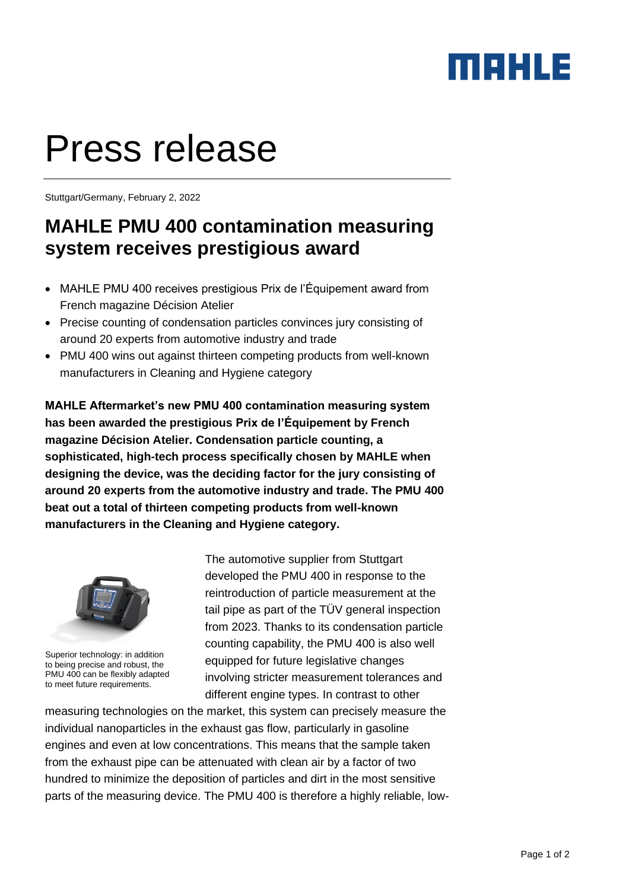## maxus

# Press release

Stuttgart/Germany, February 2, 2022

### **MAHLE PMU 400 contamination measuring system receives prestigious award**

- MAHLE PMU 400 receives prestigious Prix de l'Équipement award from French magazine Décision Atelier
- Precise counting of condensation particles convinces jury consisting of around 20 experts from automotive industry and trade
- PMU 400 wins out against thirteen competing products from well-known manufacturers in Cleaning and Hygiene category

**MAHLE Aftermarket's new PMU 400 contamination measuring system has been awarded the prestigious Prix de l'Équipement by French magazine Décision Atelier. Condensation particle counting, a sophisticated, high-tech process specifically chosen by MAHLE when designing the device, was the deciding factor for the jury consisting of around 20 experts from the automotive industry and trade. The PMU 400 beat out a total of thirteen competing products from well-known manufacturers in the Cleaning and Hygiene category.**



Superior technology: in addition to being precise and robust, the PMU 400 can be flexibly adapted to meet future requirements.

The automotive supplier from Stuttgart developed the PMU 400 in response to the reintroduction of particle measurement at the tail pipe as part of the TÜV general inspection from 2023. Thanks to its condensation particle counting capability, the PMU 400 is also well equipped for future legislative changes involving stricter measurement tolerances and different engine types. In contrast to other

measuring technologies on the market, this system can precisely measure the individual nanoparticles in the exhaust gas flow, particularly in gasoline engines and even at low concentrations. This means that the sample taken from the exhaust pipe can be attenuated with clean air by a factor of two hundred to minimize the deposition of particles and dirt in the most sensitive parts of the measuring device. The PMU 400 is therefore a highly reliable, low-